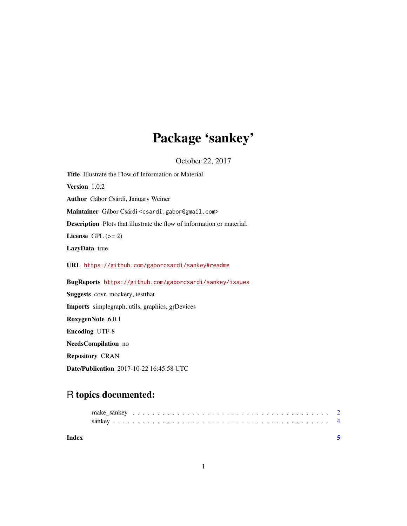# Package 'sankey'

October 22, 2017

| <b>Title</b> Illustrate the Flow of Information or Material                   |
|-------------------------------------------------------------------------------|
| Version 1.0.2                                                                 |
| Author Gábor Csárdi, January Weiner                                           |
| Maintainer Gábor Csárdi <csardi.gabor@gmail.com></csardi.gabor@gmail.com>     |
| <b>Description</b> Plots that illustrate the flow of information or material. |
| License GPL $(>= 2)$                                                          |
| LazyData true                                                                 |
| URL https://github.com/gaborcsardi/sankey#readme                              |
| BugReports https://github.com/gaborcsardi/sankey/issues                       |
| <b>Suggests</b> covr, mockery, test that                                      |
| <b>Imports</b> simplegraph, utils, graphics, grDevices                        |
| RoxygenNote 6.0.1                                                             |
| <b>Encoding UTF-8</b>                                                         |
| NeedsCompilation no                                                           |
| <b>Repository CRAN</b>                                                        |

Date/Publication 2017-10-22 16:45:58 UTC

# R topics documented:

| Index |  |  |  |  |  |  |  |  |  |  |  |  |  |  |  |  |  |  |  |
|-------|--|--|--|--|--|--|--|--|--|--|--|--|--|--|--|--|--|--|--|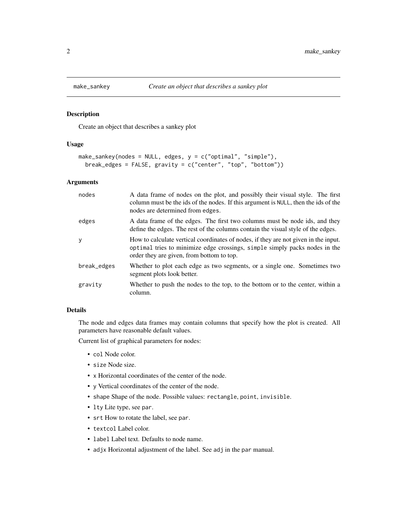<span id="page-1-1"></span><span id="page-1-0"></span>

#### Description

Create an object that describes a sankey plot

#### Usage

```
make_sankey(nodes = NULL, edges, y = c("optimal", "simple"),
 break_edges = FALSE, gravity = c("center", "top", "bottom"))
```
#### Arguments

| nodes       | A data frame of nodes on the plot, and possibly their visual style. The first<br>column must be the ids of the nodes. If this argument is NULL, then the ids of the<br>nodes are determined from edges.        |
|-------------|----------------------------------------------------------------------------------------------------------------------------------------------------------------------------------------------------------------|
| edges       | A data frame of the edges. The first two columns must be node ids, and they<br>define the edges. The rest of the columns contain the visual style of the edges.                                                |
| y           | How to calculate vertical coordinates of nodes, if they are not given in the input.<br>optimal tries to minimize edge crossings, simple simply packs nodes in the<br>order they are given, from bottom to top. |
| break_edges | Whether to plot each edge as two segments, or a single one. Sometimes two<br>segment plots look better.                                                                                                        |
| gravity     | Whether to push the nodes to the top, to the bottom or to the center, within a<br>column.                                                                                                                      |

### Details

The node and edges data frames may contain columns that specify how the plot is created. All parameters have reasonable default values.

Current list of graphical parameters for nodes:

- col Node color.
- size Node size.
- x Horizontal coordinates of the center of the node.
- y Vertical coordinates of the center of the node.
- shape Shape of the node. Possible values: rectangle, point, invisible.
- lty Lite type, see par.
- srt How to rotate the label, see par.
- textcol Label color.
- label Label text. Defaults to node name.
- adjx Horizontal adjustment of the label. See adj in the par manual.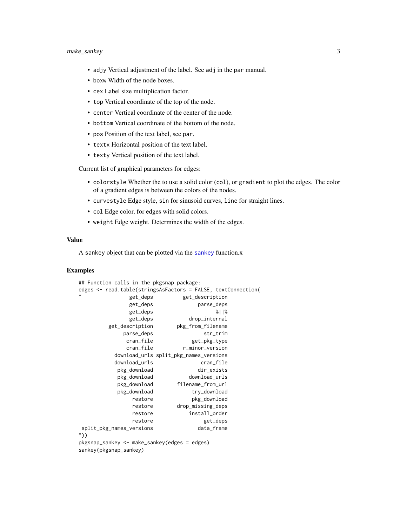#### <span id="page-2-0"></span>make\_sankey 3

- adjy Vertical adjustment of the label. See adj in the par manual.
- boxw Width of the node boxes.
- cex Label size multiplication factor.
- top Vertical coordinate of the top of the node.
- center Vertical coordinate of the center of the node.
- bottom Vertical coordinate of the bottom of the node.
- pos Position of the text label, see par.
- textx Horizontal position of the text label.
- texty Vertical position of the text label.

Current list of graphical parameters for edges:

- colorstyle Whether the to use a solid color (col), or gradient to plot the edges. The color of a gradient edges is between the colors of the nodes.
- curvestyle Edge style, sin for sinusoid curves, line for straight lines.
- col Edge color, for edges with solid colors.
- weight Edge weight. Determines the width of the edges.

#### Value

A [sankey](#page-3-1) object that can be plotted via the sankey function.x

### Examples

```
## Function calls in the pkgsnap package:
edges <- read.table(stringsAsFactors = FALSE, textConnection(
            get_deps get_description
            get_deps parse_deps
             get_deps %||%
             get_deps drop_internal
       get_description pkg_from_filename
           parse_deps str_trim
            cran_file get_pkg_type
            cran_file r_minor_version
         download_urls split_pkg_names_versions
         download_urls cran_file
         pkg_download dir_exists
         pkg_download download_urls
         pkg_download filename_from_url
         pkg_download try_download
             restore pkg_download
             restore drop_missing_deps
             restore install_order
             restore get_deps
split_pkg_names_versions data_frame
"))
pkgsnap_sankey <- make_sankey(edges = edges)
sankey(pkgsnap_sankey)
```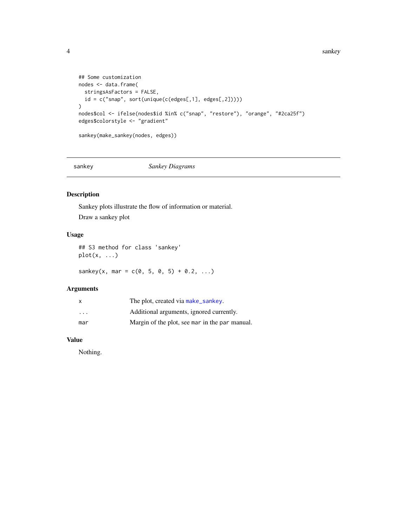```
## Some customization
nodes <- data.frame(
  stringsAsFactors = FALSE,
  id = c("snap", sort(unique(c(edges[, 1], edges[, 2]))))\mathcal{L}nodes$col <- ifelse(nodes$id %in% c("snap", "restore"), "orange", "#2ca25f")
edges$colorstyle <- "gradient"
sankey(make_sankey(nodes, edges))
```
<span id="page-3-1"></span>

sankey *Sankey Diagrams*

# Description

Sankey plots illustrate the flow of information or material. Draw a sankey plot

## Usage

```
## S3 method for class 'sankey'
plot(x, ...)
```
sankey(x, mar =  $c(0, 5, 0, 5) + 0.2, ...$ )

# Arguments

| x                       | The plot, created via make_sankey.             |
|-------------------------|------------------------------------------------|
| $\cdot$ $\cdot$ $\cdot$ | Additional arguments, ignored currently.       |
| mar                     | Margin of the plot, see mar in the par manual. |

# Value

Nothing.